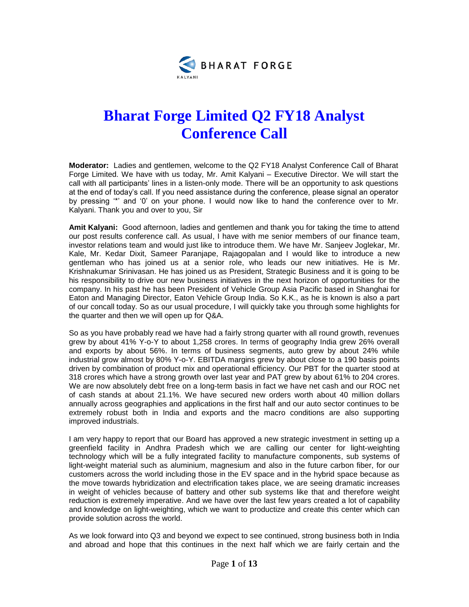

## **Bharat Forge Limited Q2 FY18 Analyst Conference Call**

**Moderator:** Ladies and gentlemen, welcome to the Q2 FY18 Analyst Conference Call of Bharat Forge Limited. We have with us today, Mr. Amit Kalyani – Executive Director. We will start the call with all participants' lines in a listen-only mode. There will be an opportunity to ask questions at the end of today's call. If you need assistance during the conference, please signal an operator by pressing '\*' and '0' on your phone. I would now like to hand the conference over to Mr. Kalyani. Thank you and over to you, Sir

**Amit Kalyani:** Good afternoon, ladies and gentlemen and thank you for taking the time to attend our post results conference call. As usual, I have with me senior members of our finance team, investor relations team and would just like to introduce them. We have Mr. Sanjeev Joglekar, Mr. Kale, Mr. Kedar Dixit, Sameer Paranjape, Rajagopalan and I would like to introduce a new gentleman who has joined us at a senior role, who leads our new initiatives. He is Mr. Krishnakumar Srinivasan. He has joined us as President, Strategic Business and it is going to be his responsibility to drive our new business initiatives in the next horizon of opportunities for the company. In his past he has been President of Vehicle Group Asia Pacific based in Shanghai for Eaton and Managing Director, Eaton Vehicle Group India. So K.K., as he is known is also a part of our concall today. So as our usual procedure, I will quickly take you through some highlights for the quarter and then we will open up for Q&A.

So as you have probably read we have had a fairly strong quarter with all round growth, revenues grew by about 41% Y-o-Y to about 1,258 crores. In terms of geography India grew 26% overall and exports by about 56%. In terms of business segments, auto grew by about 24% while industrial grow almost by 80% Y-o-Y. EBITDA margins grew by about close to a 190 basis points driven by combination of product mix and operational efficiency. Our PBT for the quarter stood at 318 crores which have a strong growth over last year and PAT grew by about 61% to 204 crores. We are now absolutely debt free on a long-term basis in fact we have net cash and our ROC net of cash stands at about 21.1%. We have secured new orders worth about 40 million dollars annually across geographies and applications in the first half and our auto sector continues to be extremely robust both in India and exports and the macro conditions are also supporting improved industrials.

I am very happy to report that our Board has approved a new strategic investment in setting up a greenfield facility in Andhra Pradesh which we are calling our center for light-weighting technology which will be a fully integrated facility to manufacture components, sub systems of light-weight material such as aluminium, magnesium and also in the future carbon fiber, for our customers across the world including those in the EV space and in the hybrid space because as the move towards hybridization and electrification takes place, we are seeing dramatic increases in weight of vehicles because of battery and other sub systems like that and therefore weight reduction is extremely imperative. And we have over the last few years created a lot of capability and knowledge on light-weighting, which we want to productize and create this center which can provide solution across the world.

As we look forward into Q3 and beyond we expect to see continued, strong business both in India and abroad and hope that this continues in the next half which we are fairly certain and the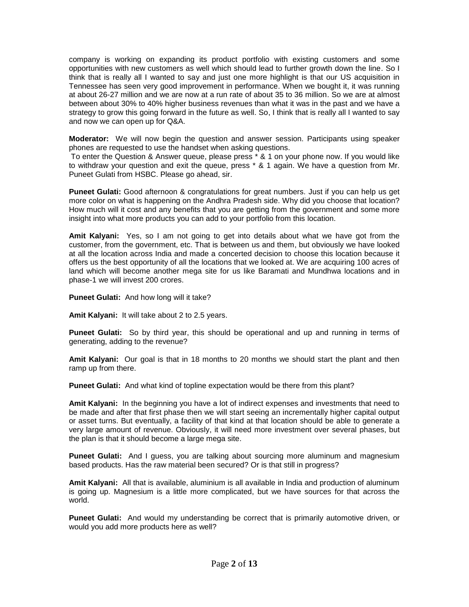company is working on expanding its product portfolio with existing customers and some opportunities with new customers as well which should lead to further growth down the line. So I think that is really all I wanted to say and just one more highlight is that our US acquisition in Tennessee has seen very good improvement in performance. When we bought it, it was running at about 26-27 million and we are now at a run rate of about 35 to 36 million. So we are at almost between about 30% to 40% higher business revenues than what it was in the past and we have a strategy to grow this going forward in the future as well. So, I think that is really all I wanted to say and now we can open up for Q&A.

**Moderator:** We will now begin the question and answer session. Participants using speaker phones are requested to use the handset when asking questions.

To enter the Question & Answer queue, please press \* & 1 on your phone now. If you would like to withdraw your question and exit the queue, press \* & 1 again. We have a question from Mr. Puneet Gulati from HSBC. Please go ahead, sir.

**Puneet Gulati:** Good afternoon & congratulations for great numbers. Just if you can help us get more color on what is happening on the Andhra Pradesh side. Why did you choose that location? How much will it cost and any benefits that you are getting from the government and some more insight into what more products you can add to your portfolio from this location.

**Amit Kalyani:** Yes, so I am not going to get into details about what we have got from the customer, from the government, etc. That is between us and them, but obviously we have looked at all the location across India and made a concerted decision to choose this location because it offers us the best opportunity of all the locations that we looked at. We are acquiring 100 acres of land which will become another mega site for us like Baramati and Mundhwa locations and in phase-1 we will invest 200 crores.

**Puneet Gulati:** And how long will it take?

**Amit Kalyani:** It will take about 2 to 2.5 years.

**Puneet Gulati:** So by third year, this should be operational and up and running in terms of generating, adding to the revenue?

**Amit Kalyani:** Our goal is that in 18 months to 20 months we should start the plant and then ramp up from there.

**Puneet Gulati:** And what kind of topline expectation would be there from this plant?

**Amit Kalyani:** In the beginning you have a lot of indirect expenses and investments that need to be made and after that first phase then we will start seeing an incrementally higher capital output or asset turns. But eventually, a facility of that kind at that location should be able to generate a very large amount of revenue. Obviously, it will need more investment over several phases, but the plan is that it should become a large mega site.

**Puneet Gulati:** And I guess, you are talking about sourcing more aluminum and magnesium based products. Has the raw material been secured? Or is that still in progress?

**Amit Kalyani:** All that is available, aluminium is all available in India and production of aluminum is going up. Magnesium is a little more complicated, but we have sources for that across the world.

**Puneet Gulati:** And would my understanding be correct that is primarily automotive driven, or would you add more products here as well?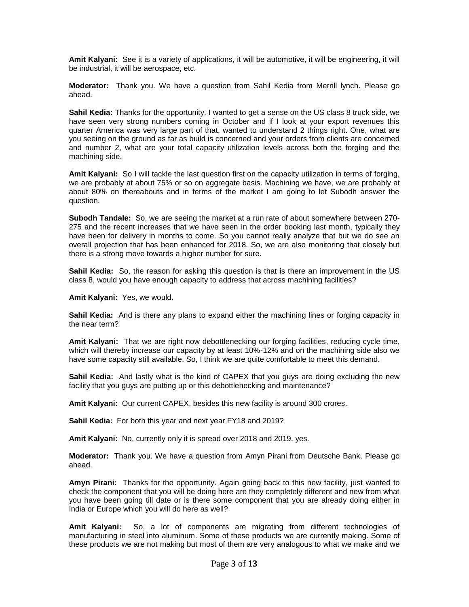**Amit Kalyani:** See it is a variety of applications, it will be automotive, it will be engineering, it will be industrial, it will be aerospace, etc.

**Moderator:** Thank you. We have a question from Sahil Kedia from Merrill lynch. Please go ahead.

**Sahil Kedia:** Thanks for the opportunity. I wanted to get a sense on the US class 8 truck side, we have seen very strong numbers coming in October and if I look at your export revenues this quarter America was very large part of that, wanted to understand 2 things right. One, what are you seeing on the ground as far as build is concerned and your orders from clients are concerned and number 2, what are your total capacity utilization levels across both the forging and the machining side.

**Amit Kalyani:** So I will tackle the last question first on the capacity utilization in terms of forging, we are probably at about 75% or so on aggregate basis. Machining we have, we are probably at about 80% on thereabouts and in terms of the market I am going to let Subodh answer the question.

**Subodh Tandale:** So, we are seeing the market at a run rate of about somewhere between 270- 275 and the recent increases that we have seen in the order booking last month, typically they have been for delivery in months to come. So you cannot really analyze that but we do see an overall projection that has been enhanced for 2018. So, we are also monitoring that closely but there is a strong move towards a higher number for sure.

**Sahil Kedia:** So, the reason for asking this question is that is there an improvement in the US class 8, would you have enough capacity to address that across machining facilities?

**Amit Kalyani:** Yes, we would.

**Sahil Kedia:** And is there any plans to expand either the machining lines or forging capacity in the near term?

**Amit Kalyani:** That we are right now debottlenecking our forging facilities, reducing cycle time, which will thereby increase our capacity by at least 10%-12% and on the machining side also we have some capacity still available. So, I think we are quite comfortable to meet this demand.

**Sahil Kedia:** And lastly what is the kind of CAPEX that you guys are doing excluding the new facility that you guys are putting up or this debottlenecking and maintenance?

**Amit Kalyani:** Our current CAPEX, besides this new facility is around 300 crores.

**Sahil Kedia:** For both this year and next year FY18 and 2019?

**Amit Kalyani:** No, currently only it is spread over 2018 and 2019, yes.

**Moderator:** Thank you. We have a question from Amyn Pirani from Deutsche Bank. Please go ahead.

**Amyn Pirani:** Thanks for the opportunity. Again going back to this new facility, just wanted to check the component that you will be doing here are they completely different and new from what you have been going till date or is there some component that you are already doing either in India or Europe which you will do here as well?

**Amit Kalyani:** So, a lot of components are migrating from different technologies of manufacturing in steel into aluminum. Some of these products we are currently making. Some of these products we are not making but most of them are very analogous to what we make and we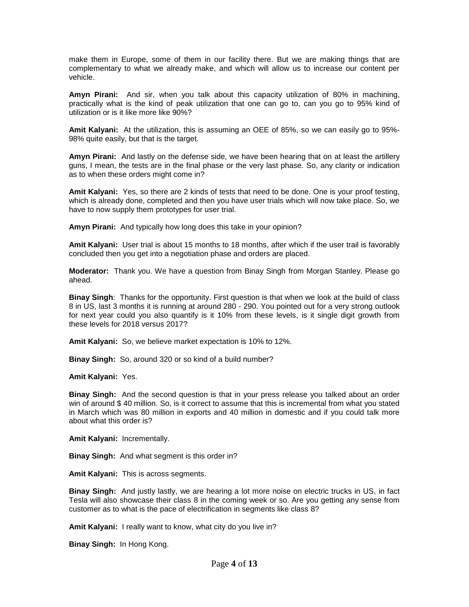make them in Europe, some of them in our facility there. But we are making things that are complementary to what we already make, and which will allow us to increase our content per vehicle.

**Amyn Pirani:** And sir, when you talk about this capacity utilization of 80% in machining, practically what is the kind of peak utilization that one can go to, can you go to 95% kind of utilization or is it like more like 90%?

**Amit Kalyani:** At the utilization, this is assuming an OEE of 85%, so we can easily go to 95%- 98% quite easily, but that is the target.

**Amyn Pirani:** And lastly on the defense side, we have been hearing that on at least the artillery guns, I mean, the tests are in the final phase or the very last phase. So, any clarity or indication as to when these orders might come in?

**Amit Kalyani:** Yes, so there are 2 kinds of tests that need to be done. One is your proof testing, which is already done, completed and then you have user trials which will now take place. So, we have to now supply them prototypes for user trial.

**Amyn Pirani:** And typically how long does this take in your opinion?

**Amit Kalyani:** User trial is about 15 months to 18 months, after which if the user trail is favorably concluded then you get into a negotiation phase and orders are placed.

**Moderator:** Thank you. We have a question from Binay Singh from Morgan Stanley. Please go ahead.

**Binay Singh**: Thanks for the opportunity. First question is that when we look at the build of class 8 in US, last 3 months it is running at around 280 - 290. You pointed out for a very strong outlook for next year could you also quantify is it 10% from these levels, is it single digit growth from these levels for 2018 versus 2017?

**Amit Kalyani:** So, we believe market expectation is 10% to 12%.

**Binay Singh:** So, around 320 or so kind of a build number?

**Amit Kalyani:** Yes.

**Binay Singh:** And the second question is that in your press release you talked about an order win of around \$ 40 million. So, is it correct to assume that this is incremental from what you stated in March which was 80 million in exports and 40 million in domestic and if you could talk more about what this order is?

**Amit Kalyani:** Incrementally.

**Binay Singh:** And what segment is this order in?

**Amit Kalyani:** This is across segments.

**Binay Singh:** And justly lastly, we are hearing a lot more noise on electric trucks in US, in fact Tesla will also showcase their class 8 in the coming week or so. Are you getting any sense from customer as to what is the pace of electrification in segments like class 8?

**Amit Kalyani:** I really want to know, what city do you live in?

**Binay Singh:** In Hong Kong.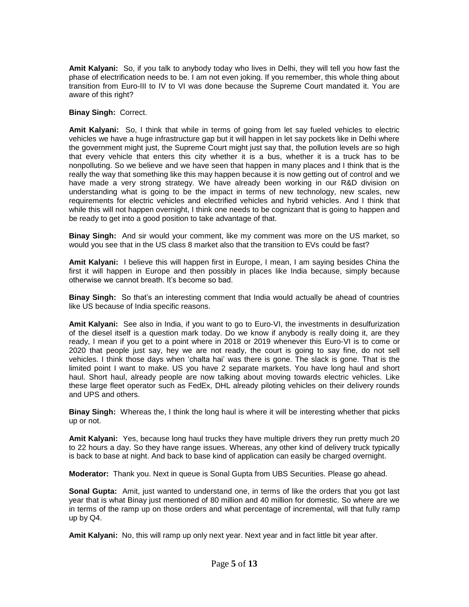**Amit Kalyani:** So, if you talk to anybody today who lives in Delhi, they will tell you how fast the phase of electrification needs to be. I am not even joking. If you remember, this whole thing about transition from Euro-III to IV to VI was done because the Supreme Court mandated it. You are aware of this right?

## **Binay Singh:** Correct.

**Amit Kalyani:** So, I think that while in terms of going from let say fueled vehicles to electric vehicles we have a huge infrastructure gap but it will happen in let say pockets like in Delhi where the government might just, the Supreme Court might just say that, the pollution levels are so high that every vehicle that enters this city whether it is a bus, whether it is a truck has to be nonpolluting. So we believe and we have seen that happen in many places and I think that is the really the way that something like this may happen because it is now getting out of control and we have made a very strong strategy. We have already been working in our R&D division on understanding what is going to be the impact in terms of new technology, new scales, new requirements for electric vehicles and electrified vehicles and hybrid vehicles. And I think that while this will not happen overnight, I think one needs to be cognizant that is going to happen and be ready to get into a good position to take advantage of that.

**Binay Singh:** And sir would your comment, like my comment was more on the US market, so would you see that in the US class 8 market also that the transition to EVs could be fast?

**Amit Kalyani:** I believe this will happen first in Europe, I mean, I am saying besides China the first it will happen in Europe and then possibly in places like India because, simply because otherwise we cannot breath. It's become so bad.

**Binay Singh:** So that's an interesting comment that India would actually be ahead of countries like US because of India specific reasons.

**Amit Kalyani:** See also in India, if you want to go to Euro-VI, the investments in desulfurization of the diesel itself is a question mark today. Do we know if anybody is really doing it, are they ready, I mean if you get to a point where in 2018 or 2019 whenever this Euro-VI is to come or 2020 that people just say, hey we are not ready, the court is going to say fine, do not sell vehicles. I think those days when 'chalta hai' was there is gone. The slack is gone. That is the limited point I want to make. US you have 2 separate markets. You have long haul and short haul. Short haul, already people are now talking about moving towards electric vehicles. Like these large fleet operator such as FedEx, DHL already piloting vehicles on their delivery rounds and UPS and others.

**Binay Singh:** Whereas the, I think the long haul is where it will be interesting whether that picks up or not.

**Amit Kalyani:** Yes, because long haul trucks they have multiple drivers they run pretty much 20 to 22 hours a day. So they have range issues. Whereas, any other kind of delivery truck typically is back to base at night. And back to base kind of application can easily be charged overnight.

**Moderator:** Thank you. Next in queue is Sonal Gupta from UBS Securities. Please go ahead.

**Sonal Gupta:** Amit, just wanted to understand one, in terms of like the orders that you got last year that is what Binay just mentioned of 80 million and 40 million for domestic. So where are we in terms of the ramp up on those orders and what percentage of incremental, will that fully ramp up by Q4.

**Amit Kalyani:** No, this will ramp up only next year. Next year and in fact little bit year after.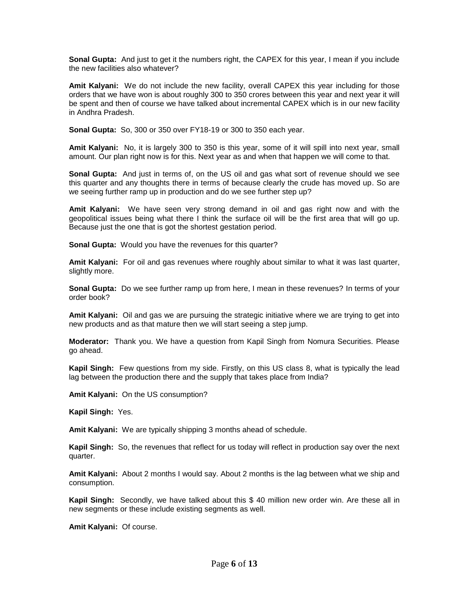**Sonal Gupta:** And just to get it the numbers right, the CAPEX for this year, I mean if you include the new facilities also whatever?

**Amit Kalyani:** We do not include the new facility, overall CAPEX this year including for those orders that we have won is about roughly 300 to 350 crores between this year and next year it will be spent and then of course we have talked about incremental CAPEX which is in our new facility in Andhra Pradesh.

**Sonal Gupta:** So, 300 or 350 over FY18-19 or 300 to 350 each year.

**Amit Kalyani:** No, it is largely 300 to 350 is this year, some of it will spill into next year, small amount. Our plan right now is for this. Next year as and when that happen we will come to that.

**Sonal Gupta:** And just in terms of, on the US oil and gas what sort of revenue should we see this quarter and any thoughts there in terms of because clearly the crude has moved up. So are we seeing further ramp up in production and do we see further step up?

**Amit Kalyani:** We have seen very strong demand in oil and gas right now and with the geopolitical issues being what there I think the surface oil will be the first area that will go up. Because just the one that is got the shortest gestation period.

**Sonal Gupta:** Would you have the revenues for this quarter?

**Amit Kalyani:** For oil and gas revenues where roughly about similar to what it was last quarter, slightly more.

**Sonal Gupta:** Do we see further ramp up from here, I mean in these revenues? In terms of your order book?

**Amit Kalyani:** Oil and gas we are pursuing the strategic initiative where we are trying to get into new products and as that mature then we will start seeing a step jump.

**Moderator:** Thank you. We have a question from Kapil Singh from Nomura Securities. Please go ahead.

**Kapil Singh:** Few questions from my side. Firstly, on this US class 8, what is typically the lead lag between the production there and the supply that takes place from India?

**Amit Kalyani:** On the US consumption?

**Kapil Singh:** Yes.

**Amit Kalyani:** We are typically shipping 3 months ahead of schedule.

**Kapil Singh:** So, the revenues that reflect for us today will reflect in production say over the next quarter.

**Amit Kalyani:** About 2 months I would say. About 2 months is the lag between what we ship and consumption.

**Kapil Singh:** Secondly, we have talked about this \$ 40 million new order win. Are these all in new segments or these include existing segments as well.

**Amit Kalyani:** Of course.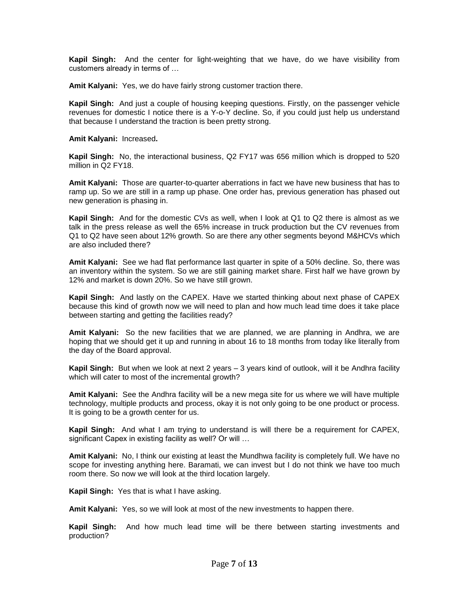**Kapil Singh:** And the center for light-weighting that we have, do we have visibility from customers already in terms of …

**Amit Kalyani:** Yes, we do have fairly strong customer traction there.

**Kapil Singh:** And just a couple of housing keeping questions. Firstly, on the passenger vehicle revenues for domestic I notice there is a Y-o-Y decline. So, if you could just help us understand that because I understand the traction is been pretty strong.

**Amit Kalyani:** Increased**.**

**Kapil Singh:** No, the interactional business, Q2 FY17 was 656 million which is dropped to 520 million in Q2 FY18.

**Amit Kalyani:** Those are quarter-to-quarter aberrations in fact we have new business that has to ramp up. So we are still in a ramp up phase. One order has, previous generation has phased out new generation is phasing in.

**Kapil Singh:** And for the domestic CVs as well, when I look at Q1 to Q2 there is almost as we talk in the press release as well the 65% increase in truck production but the CV revenues from Q1 to Q2 have seen about 12% growth. So are there any other segments beyond M&HCVs which are also included there?

**Amit Kalyani:** See we had flat performance last quarter in spite of a 50% decline. So, there was an inventory within the system. So we are still gaining market share. First half we have grown by 12% and market is down 20%. So we have still grown.

**Kapil Singh:** And lastly on the CAPEX. Have we started thinking about next phase of CAPEX because this kind of growth now we will need to plan and how much lead time does it take place between starting and getting the facilities ready?

**Amit Kalyani:** So the new facilities that we are planned, we are planning in Andhra, we are hoping that we should get it up and running in about 16 to 18 months from today like literally from the day of the Board approval.

**Kapil Singh:** But when we look at next 2 years – 3 years kind of outlook, will it be Andhra facility which will cater to most of the incremental growth?

**Amit Kalyani:** See the Andhra facility will be a new mega site for us where we will have multiple technology, multiple products and process, okay it is not only going to be one product or process. It is going to be a growth center for us.

**Kapil Singh:** And what I am trying to understand is will there be a requirement for CAPEX, significant Capex in existing facility as well? Or will ...

**Amit Kalyani:** No, I think our existing at least the Mundhwa facility is completely full. We have no scope for investing anything here. Baramati, we can invest but I do not think we have too much room there. So now we will look at the third location largely.

**Kapil Singh:** Yes that is what I have asking.

**Amit Kalyani:** Yes, so we will look at most of the new investments to happen there.

**Kapil Singh:** And how much lead time will be there between starting investments and production?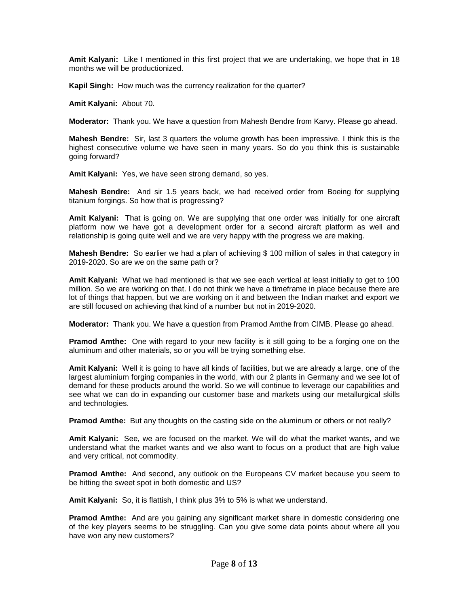**Amit Kalyani:** Like I mentioned in this first project that we are undertaking, we hope that in 18 months we will be productionized.

**Kapil Singh:** How much was the currency realization for the quarter?

**Amit Kalyani:** About 70.

**Moderator:** Thank you. We have a question from Mahesh Bendre from Karvy. Please go ahead.

**Mahesh Bendre:** Sir, last 3 quarters the volume growth has been impressive. I think this is the highest consecutive volume we have seen in many years. So do you think this is sustainable going forward?

**Amit Kalyani:** Yes, we have seen strong demand, so yes.

**Mahesh Bendre:** And sir 1.5 years back, we had received order from Boeing for supplying titanium forgings. So how that is progressing?

**Amit Kalyani:** That is going on. We are supplying that one order was initially for one aircraft platform now we have got a development order for a second aircraft platform as well and relationship is going quite well and we are very happy with the progress we are making.

**Mahesh Bendre:** So earlier we had a plan of achieving \$ 100 million of sales in that category in 2019-2020. So are we on the same path or?

**Amit Kalyani:** What we had mentioned is that we see each vertical at least initially to get to 100 million. So we are working on that. I do not think we have a timeframe in place because there are lot of things that happen, but we are working on it and between the Indian market and export we are still focused on achieving that kind of a number but not in 2019-2020.

**Moderator:** Thank you. We have a question from Pramod Amthe from CIMB. Please go ahead.

**Pramod Amthe:** One with regard to your new facility is it still going to be a forging one on the aluminum and other materials, so or you will be trying something else.

**Amit Kalyani:** Well it is going to have all kinds of facilities, but we are already a large, one of the largest aluminium forging companies in the world, with our 2 plants in Germany and we see lot of demand for these products around the world. So we will continue to leverage our capabilities and see what we can do in expanding our customer base and markets using our metallurgical skills and technologies.

**Pramod Amthe:** But any thoughts on the casting side on the aluminum or others or not really?

**Amit Kalyani:** See, we are focused on the market. We will do what the market wants, and we understand what the market wants and we also want to focus on a product that are high value and very critical, not commodity.

**Pramod Amthe:** And second, any outlook on the Europeans CV market because you seem to be hitting the sweet spot in both domestic and US?

**Amit Kalyani:** So, it is flattish, I think plus 3% to 5% is what we understand.

**Pramod Amthe:** And are you gaining any significant market share in domestic considering one of the key players seems to be struggling. Can you give some data points about where all you have won any new customers?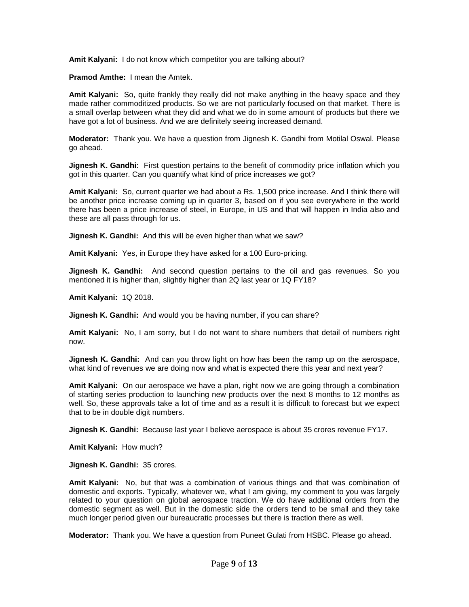**Amit Kalyani:** I do not know which competitor you are talking about?

**Pramod Amthe:** I mean the Amtek.

**Amit Kalyani:** So, quite frankly they really did not make anything in the heavy space and they made rather commoditized products. So we are not particularly focused on that market. There is a small overlap between what they did and what we do in some amount of products but there we have got a lot of business. And we are definitely seeing increased demand.

**Moderator:** Thank you. We have a question from Jignesh K. Gandhi from Motilal Oswal. Please go ahead.

**Jignesh K. Gandhi:** First question pertains to the benefit of commodity price inflation which you got in this quarter. Can you quantify what kind of price increases we got?

**Amit Kalyani:** So, current quarter we had about a Rs. 1,500 price increase. And I think there will be another price increase coming up in quarter 3, based on if you see everywhere in the world there has been a price increase of steel, in Europe, in US and that will happen in India also and these are all pass through for us.

**Jignesh K. Gandhi:** And this will be even higher than what we saw?

**Amit Kalyani:** Yes, in Europe they have asked for a 100 Euro-pricing.

**Jignesh K. Gandhi:** And second question pertains to the oil and gas revenues. So you mentioned it is higher than, slightly higher than 2Q last year or 1Q FY18?

**Amit Kalyani:** 1Q 2018.

**Jignesh K. Gandhi:** And would you be having number, if you can share?

**Amit Kalyani:** No, I am sorry, but I do not want to share numbers that detail of numbers right now.

**Jignesh K. Gandhi:** And can you throw light on how has been the ramp up on the aerospace, what kind of revenues we are doing now and what is expected there this year and next year?

**Amit Kalyani:** On our aerospace we have a plan, right now we are going through a combination of starting series production to launching new products over the next 8 months to 12 months as well. So, these approvals take a lot of time and as a result it is difficult to forecast but we expect that to be in double digit numbers.

**Jignesh K. Gandhi:** Because last year I believe aerospace is about 35 crores revenue FY17.

**Amit Kalyani:** How much?

**Jignesh K. Gandhi:** 35 crores.

**Amit Kalyani:** No, but that was a combination of various things and that was combination of domestic and exports. Typically, whatever we, what I am giving, my comment to you was largely related to your question on global aerospace traction. We do have additional orders from the domestic segment as well. But in the domestic side the orders tend to be small and they take much longer period given our bureaucratic processes but there is traction there as well.

**Moderator:** Thank you. We have a question from Puneet Gulati from HSBC. Please go ahead.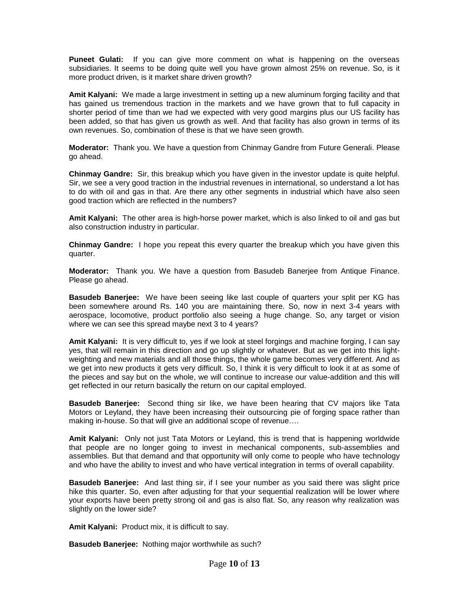**Puneet Gulati:** If you can give more comment on what is happening on the overseas subsidiaries. It seems to be doing quite well you have grown almost 25% on revenue. So, is it more product driven, is it market share driven growth?

**Amit Kalyani:** We made a large investment in setting up a new aluminum forging facility and that has gained us tremendous traction in the markets and we have grown that to full capacity in shorter period of time than we had we expected with very good margins plus our US facility has been added, so that has given us growth as well. And that facility has also grown in terms of its own revenues. So, combination of these is that we have seen growth.

**Moderator:** Thank you. We have a question from Chinmay Gandre from Future Generali. Please go ahead.

**Chinmay Gandre:** Sir, this breakup which you have given in the investor update is quite helpful. Sir, we see a very good traction in the industrial revenues in international, so understand a lot has to do with oil and gas in that. Are there any other segments in industrial which have also seen good traction which are reflected in the numbers?

**Amit Kalyani:** The other area is high-horse power market, which is also linked to oil and gas but also construction industry in particular.

**Chinmay Gandre:** I hope you repeat this every quarter the breakup which you have given this quarter.

**Moderator:** Thank you. We have a question from Basudeb Banerjee from Antique Finance. Please go ahead.

**Basudeb Banerjee:** We have been seeing like last couple of quarters your split per KG has been somewhere around Rs. 140 you are maintaining there. So, now in next 3-4 years with aerospace, locomotive, product portfolio also seeing a huge change. So, any target or vision where we can see this spread maybe next 3 to 4 years?

**Amit Kalyani:** It is very difficult to, yes if we look at steel forgings and machine forging, I can say yes, that will remain in this direction and go up slightly or whatever. But as we get into this lightweighting and new materials and all those things, the whole game becomes very different. And as we get into new products it gets very difficult. So, I think it is very difficult to look it at as some of the pieces and say but on the whole, we will continue to increase our value-addition and this will get reflected in our return basically the return on our capital employed.

**Basudeb Banerjee:** Second thing sir like, we have been hearing that CV majors like Tata Motors or Leyland, they have been increasing their outsourcing pie of forging space rather than making in-house. So that will give an additional scope of revenue….

**Amit Kalyani:** Only not just Tata Motors or Leyland, this is trend that is happening worldwide that people are no longer going to invest in mechanical components, sub-assemblies and assemblies. But that demand and that opportunity will only come to people who have technology and who have the ability to invest and who have vertical integration in terms of overall capability.

**Basudeb Banerjee:** And last thing sir, if I see your number as you said there was slight price hike this quarter. So, even after adjusting for that your sequential realization will be lower where your exports have been pretty strong oil and gas is also flat. So, any reason why realization was slightly on the lower side?

**Amit Kalyani:** Product mix, it is difficult to say.

**Basudeb Banerjee:** Nothing major worthwhile as such?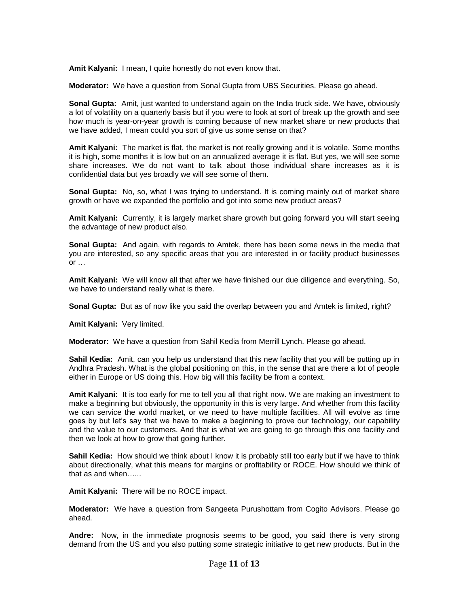**Amit Kalyani:** I mean, I quite honestly do not even know that.

**Moderator:** We have a question from Sonal Gupta from UBS Securities. Please go ahead.

**Sonal Gupta:** Amit, just wanted to understand again on the India truck side. We have, obviously a lot of volatility on a quarterly basis but if you were to look at sort of break up the growth and see how much is year-on-year growth is coming because of new market share or new products that we have added, I mean could you sort of give us some sense on that?

**Amit Kalyani:** The market is flat, the market is not really growing and it is volatile. Some months it is high, some months it is low but on an annualized average it is flat. But yes, we will see some share increases. We do not want to talk about those individual share increases as it is confidential data but yes broadly we will see some of them.

**Sonal Gupta:** No, so, what I was trying to understand. It is coming mainly out of market share growth or have we expanded the portfolio and got into some new product areas?

**Amit Kalyani:** Currently, it is largely market share growth but going forward you will start seeing the advantage of new product also.

**Sonal Gupta:** And again, with regards to Amtek, there has been some news in the media that you are interested, so any specific areas that you are interested in or facility product businesses or …

**Amit Kalyani:** We will know all that after we have finished our due diligence and everything. So, we have to understand really what is there.

**Sonal Gupta:** But as of now like you said the overlap between you and Amtek is limited, right?

**Amit Kalyani:** Very limited.

**Moderator:** We have a question from Sahil Kedia from Merrill Lynch. Please go ahead.

**Sahil Kedia:** Amit, can you help us understand that this new facility that you will be putting up in Andhra Pradesh. What is the global positioning on this, in the sense that are there a lot of people either in Europe or US doing this. How big will this facility be from a context.

**Amit Kalyani:** It is too early for me to tell you all that right now. We are making an investment to make a beginning but obviously, the opportunity in this is very large. And whether from this facility we can service the world market, or we need to have multiple facilities. All will evolve as time goes by but let's say that we have to make a beginning to prove our technology, our capability and the value to our customers. And that is what we are going to go through this one facility and then we look at how to grow that going further.

**Sahil Kedia:** How should we think about I know it is probably still too early but if we have to think about directionally, what this means for margins or profitability or ROCE. How should we think of that as and when…...

**Amit Kalyani:** There will be no ROCE impact.

**Moderator:** We have a question from Sangeeta Purushottam from Cogito Advisors. Please go ahead.

**Andre:** Now, in the immediate prognosis seems to be good, you said there is very strong demand from the US and you also putting some strategic initiative to get new products. But in the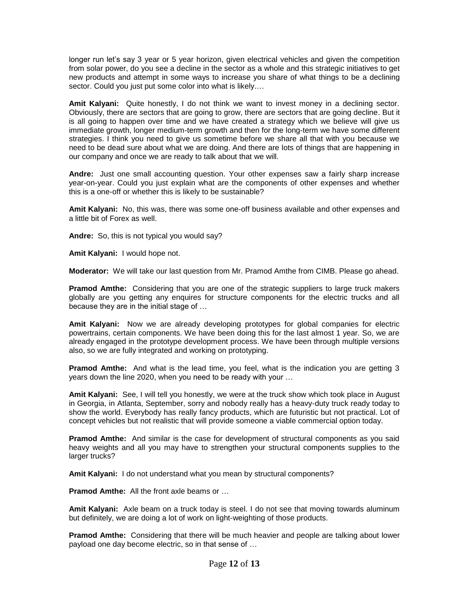longer run let's say 3 year or 5 year horizon, given electrical vehicles and given the competition from solar power, do you see a decline in the sector as a whole and this strategic initiatives to get new products and attempt in some ways to increase you share of what things to be a declining sector. Could you just put some color into what is likely....

**Amit Kalyani:** Quite honestly, I do not think we want to invest money in a declining sector. Obviously, there are sectors that are going to grow, there are sectors that are going decline. But it is all going to happen over time and we have created a strategy which we believe will give us immediate growth, longer medium-term growth and then for the long-term we have some different strategies. I think you need to give us sometime before we share all that with you because we need to be dead sure about what we are doing. And there are lots of things that are happening in our company and once we are ready to talk about that we will.

**Andre:** Just one small accounting question. Your other expenses saw a fairly sharp increase year-on-year. Could you just explain what are the components of other expenses and whether this is a one-off or whether this is likely to be sustainable?

**Amit Kalyani:** No, this was, there was some one-off business available and other expenses and a little bit of Forex as well.

**Andre:** So, this is not typical you would say?

**Amit Kalyani:** I would hope not.

**Moderator:** We will take our last question from Mr. Pramod Amthe from CIMB. Please go ahead.

**Pramod Amthe:** Considering that you are one of the strategic suppliers to large truck makers globally are you getting any enquires for structure components for the electric trucks and all because they are in the initial stage of …

**Amit Kalyani:** Now we are already developing prototypes for global companies for electric powertrains, certain components. We have been doing this for the last almost 1 year. So, we are already engaged in the prototype development process. We have been through multiple versions also, so we are fully integrated and working on prototyping.

**Pramod Amthe:** And what is the lead time, you feel, what is the indication you are getting 3 years down the line 2020, when you need to be ready with your …

**Amit Kalyani:** See, I will tell you honestly, we were at the truck show which took place in August in Georgia, in Atlanta, September, sorry and nobody really has a heavy-duty truck ready today to show the world. Everybody has really fancy products, which are futuristic but not practical. Lot of concept vehicles but not realistic that will provide someone a viable commercial option today.

**Pramod Amthe:** And similar is the case for development of structural components as you said heavy weights and all you may have to strengthen your structural components supplies to the larger trucks?

**Amit Kalyani:** I do not understand what you mean by structural components?

**Pramod Amthe:** All the front axle beams or …

**Amit Kalyani:** Axle beam on a truck today is steel. I do not see that moving towards aluminum but definitely, we are doing a lot of work on light-weighting of those products.

**Pramod Amthe:** Considering that there will be much heavier and people are talking about lower payload one day become electric, so in that sense of …